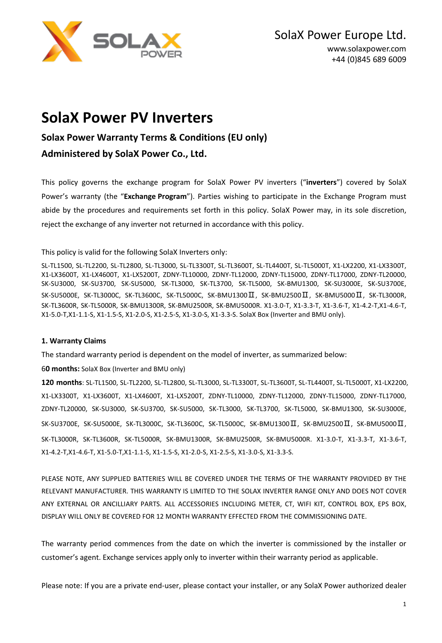

# **SolaX Power PV Inverters**

## **Solax Power Warranty Terms & Conditions (EU only)**

### **Administered by SolaX Power Co., Ltd.**

This policy governs the exchange program for SolaX Power PV inverters ("**inverters**") covered by SolaX Power's warranty (the "**Exchange Program**"). Parties wishing to participate in the Exchange Program must abide by the procedures and requirements set forth in this policy. SolaX Power may, in its sole discretion, reject the exchange of any inverter not returned in accordance with this policy.

This policy is valid for the following SolaX Inverters only:

SL-TL1500, SL-TL2200, SL-TL2800, SL-TL3000, SL-TL3300T, SL-TL3600T, SL-TL4400T, SL-TL5000T, X1-LX2200, X1-LX3300T, X1-LX3600T, X1-LX4600T, X1-LX5200T, ZDNY-TL10000, ZDNY-TL12000, ZDNY-TL15000, ZDNY-TL17000, ZDNY-TL20000, SK-SU3000, SK-SU3700, SK-SU5000, SK-TL3000, SK-TL3700, SK-TL5000, SK-BMU1300, SK-SU3000E, SK-SU3700E, SK-SU5000E, SK-TL3000C, SK-TL3600C, SK-TL5000C, SK-BMU1300Ⅱ, SK-BMU2500Ⅱ, SK-BMU5000Ⅱ, SK-TL3000R, SK-TL3600R, SK-TL5000R, SK-BMU1300R, SK-BMU2500R, SK-BMU5000R. X1-3.0-T, X1-3.3-T, X1-3.6-T, X1-4.2-T,X1-4.6-T, X1-5.0-T,X1-1.1-S, X1-1.5-S, X1-2.0-S, X1-2.5-S, X1-3.0-S, X1-3.3-S. SolaX Box (Inverter and BMU only).

### **1. Warranty Claims**

The standard warranty period is dependent on the model of inverter, as summarized below:

6**0 months:** SolaX Box (Inverter and BMU only)

**120 months**: SL-TL1500, SL-TL2200, SL-TL2800, SL-TL3000, SL-TL3300T, SL-TL3600T, SL-TL4400T, SL-TL5000T, X1-LX2200, X1-LX3300T, X1-LX3600T, X1-LX4600T, X1-LX5200T, ZDNY-TL10000, ZDNY-TL12000, ZDNY-TL15000, ZDNY-TL17000, ZDNY-TL20000, SK-SU3000, SK-SU3700, SK-SU5000, SK-TL3000, SK-TL3700, SK-TL5000, SK-BMU1300, SK-SU3000E, SK-SU3700E, SK-SU5000E, SK-TL3000C, SK-TL3600C, SK-TL5000C, SK-BMU1300Ⅱ, SK-BMU2500Ⅱ, SK-BMU5000Ⅱ, SK-TL3000R, SK-TL3600R, SK-TL5000R, SK-BMU1300R, SK-BMU2500R, SK-BMU5000R. X1-3.0-T, X1-3.3-T, X1-3.6-T, X1-4.2-T,X1-4.6-T, X1-5.0-T,X1-1.1-S, X1-1.5-S, X1-2.0-S, X1-2.5-S, X1-3.0-S, X1-3.3-S.

PLEASE NOTE, ANY SUPPLIED BATTERIES WILL BE COVERED UNDER THE TERMS OF THE WARRANTY PROVIDED BY THE RELEVANT MANUFACTURER. THIS WARRANTY IS LIMITED TO THE SOLAX INVERTER RANGE ONLY AND DOES NOT COVER ANY EXTERNAL OR ANCILLIARY PARTS. ALL ACCESSORIES INCLUDING METER, CT, WIFI KIT, CONTROL BOX, EPS BOX, DISPLAY WILL ONLY BE COVERED FOR 12 MONTH WARRANTY EFFECTED FROM THE COMMISSIONING DATE.

The warranty period commences from the date on which the inverter is commissioned by the installer or customer's agent. Exchange services apply only to inverter within their warranty period as applicable.

Please note: If you are a private end-user, please contact your installer, or any SolaX Power authorized dealer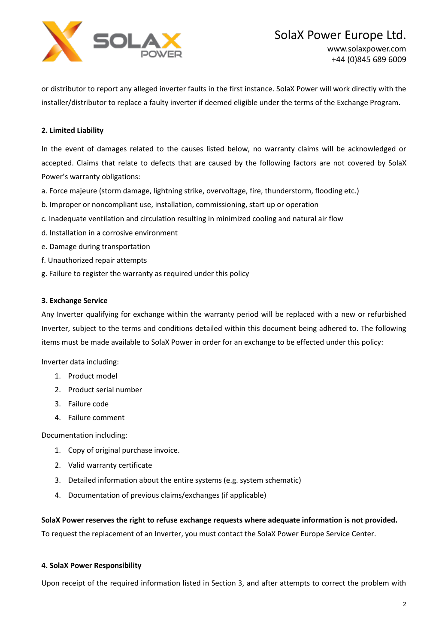

or distributor to report any alleged inverter faults in the first instance. SolaX Power will work directly with the installer/distributor to replace a faulty inverter if deemed eligible under the terms of the Exchange Program.

### **2. Limited Liability**

In the event of damages related to the causes listed below, no warranty claims will be acknowledged or accepted. Claims that relate to defects that are caused by the following factors are not covered by SolaX Power's warranty obligations:

- a. Force majeure (storm damage, lightning strike, overvoltage, fire, thunderstorm, flooding etc.)
- b. Improper or noncompliant use, installation, commissioning, start up or operation
- c. Inadequate ventilation and circulation resulting in minimized cooling and natural air flow
- d. Installation in a corrosive environment
- e. Damage during transportation
- f. Unauthorized repair attempts
- g. Failure to register the warranty as required under this policy

### **3. Exchange Service**

Any Inverter qualifying for exchange within the warranty period will be replaced with a new or refurbished Inverter, subject to the terms and conditions detailed within this document being adhered to. The following items must be made available to SolaX Power in order for an exchange to be effected under this policy:

Inverter data including:

- 1. Product model
- 2. Product serial number
- 3. Failure code
- 4. Failure comment

Documentation including:

- 1. Copy of original purchase invoice.
- 2. Valid warranty certificate
- 3. Detailed information about the entire systems (e.g. system schematic)
- 4. Documentation of previous claims/exchanges (if applicable)

**SolaX Power reserves the right to refuse exchange requests where adequate information is not provided.**

To request the replacement of an Inverter, you must contact the SolaX Power Europe Service Center.

### **4. SolaX Power Responsibility**

Upon receipt of the required information listed in Section 3, and after attempts to correct the problem with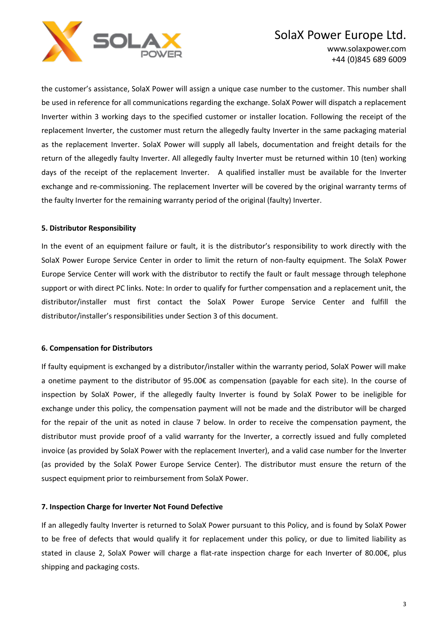

## SolaX Power Europe Ltd.

www.solaxpower.com +44 (0)845 689 6009

the customer's assistance, SolaX Power will assign a unique case number to the customer. This number shall be used in reference for all communications regarding the exchange. SolaX Power will dispatch a replacement Inverter within 3 working days to the specified customer or installer location. Following the receipt of the replacement Inverter, the customer must return the allegedly faulty Inverter in the same packaging material as the replacement Inverter. SolaX Power will supply all labels, documentation and freight details for the return of the allegedly faulty Inverter. All allegedly faulty Inverter must be returned within 10 (ten) working days of the receipt of the replacement Inverter. A qualified installer must be available for the Inverter exchange and re-commissioning. The replacement Inverter will be covered by the original warranty terms of the faulty Inverter for the remaining warranty period of the original (faulty) Inverter.

### **5. Distributor Responsibility**

In the event of an equipment failure or fault, it is the distributor's responsibility to work directly with the SolaX Power Europe Service Center in order to limit the return of non-faulty equipment. The SolaX Power Europe Service Center will work with the distributor to rectify the fault or fault message through telephone support or with direct PC links. Note: In order to qualify for further compensation and a replacement unit, the distributor/installer must first contact the SolaX Power Europe Service Center and fulfill the distributor/installer's responsibilities under Section 3 of this document.

#### **6. Compensation for Distributors**

If faulty equipment is exchanged by a distributor/installer within the warranty period, SolaX Power will make a onetime payment to the distributor of 95.00€ as compensation (payable for each site). In the course of inspection by SolaX Power, if the allegedly faulty Inverter is found by SolaX Power to be ineligible for exchange under this policy, the compensation payment will not be made and the distributor will be charged for the repair of the unit as noted in clause 7 below. In order to receive the compensation payment, the distributor must provide proof of a valid warranty for the Inverter, a correctly issued and fully completed invoice (as provided by SolaX Power with the replacement Inverter), and a valid case number for the Inverter (as provided by the SolaX Power Europe Service Center). The distributor must ensure the return of the suspect equipment prior to reimbursement from SolaX Power.

### **7. Inspection Charge for Inverter Not Found Defective**

If an allegedly faulty Inverter is returned to SolaX Power pursuant to this Policy, and is found by SolaX Power to be free of defects that would qualify it for replacement under this policy, or due to limited liability as stated in clause 2, SolaX Power will charge a flat-rate inspection charge for each Inverter of 80.00€, plus shipping and packaging costs.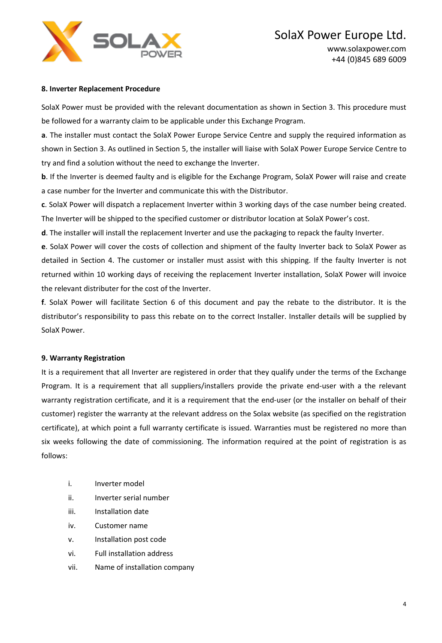

### **8. Inverter Replacement Procedure**

SolaX Power must be provided with the relevant documentation as shown in Section 3. This procedure must be followed for a warranty claim to be applicable under this Exchange Program.

**a**. The installer must contact the SolaX Power Europe Service Centre and supply the required information as shown in Section 3. As outlined in Section 5, the installer will liaise with SolaX Power Europe Service Centre to try and find a solution without the need to exchange the Inverter.

**b**. If the Inverter is deemed faulty and is eligible for the Exchange Program, SolaX Power will raise and create a case number for the Inverter and communicate this with the Distributor.

**c**. SolaX Power will dispatch a replacement Inverter within 3 working days of the case number being created. The Inverter will be shipped to the specified customer or distributor location at SolaX Power's cost.

**d**. The installer will install the replacement Inverter and use the packaging to repack the faulty Inverter.

**e**. SolaX Power will cover the costs of collection and shipment of the faulty Inverter back to SolaX Power as detailed in Section 4. The customer or installer must assist with this shipping. If the faulty Inverter is not returned within 10 working days of receiving the replacement Inverter installation, SolaX Power will invoice the relevant distributer for the cost of the Inverter.

**f**. SolaX Power will facilitate Section 6 of this document and pay the rebate to the distributor. It is the distributor's responsibility to pass this rebate on to the correct Installer. Installer details will be supplied by SolaX Power.

### **9. Warranty Registration**

It is a requirement that all Inverter are registered in order that they qualify under the terms of the Exchange Program. It is a requirement that all suppliers/installers provide the private end-user with a the relevant warranty registration certificate, and it is a requirement that the end-user (or the installer on behalf of their customer) register the warranty at the relevant address on the Solax website (as specified on the registration certificate), at which point a full warranty certificate is issued. Warranties must be registered no more than six weeks following the date of commissioning. The information required at the point of registration is as follows:

- i. Inverter model
- ii. Inverter serial number
- iii. Installation date
- iv. Customer name
- v. Installation post code
- vi. Full installation address
- vii. Name of installation company